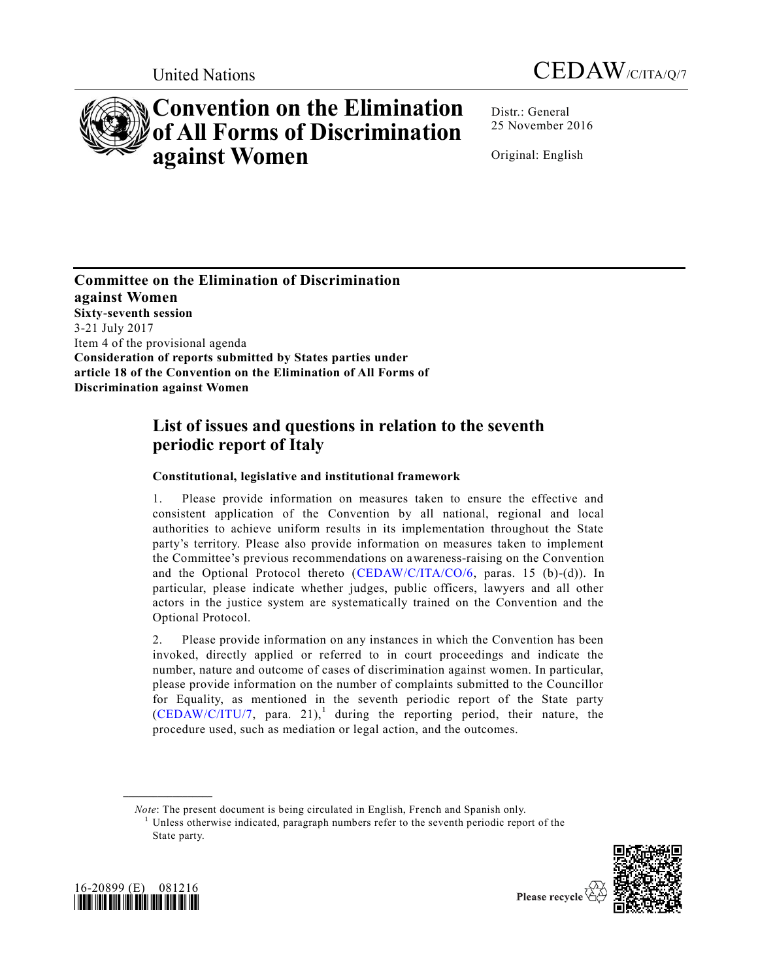



# **Convention on the Elimination of All Forms of Discrimination against Women**

Distr.: General 25 November 2016

Original: English

**Committee on the Elimination of Discrimination against Women Sixty-seventh session**  3-21 July 2017 Item 4 of the provisional agenda **Consideration of reports submitted by States parties under article 18 of the Convention on the Elimination of All Forms of Discrimination against Women**

## **List of issues and questions in relation to the seventh periodic report of Italy**

### **Constitutional, legislative and institutional framework**

1. Please provide information on measures taken to ensure the effective and consistent application of the Convention by all national, regional and local authorities to achieve uniform results in its implementation throughout the State party's territory. Please also provide information on measures taken to implement the Committee's previous recommendations on awareness-raising on the Convention and the Optional Protocol thereto  $(CEDAW/C/ITA/CO/6, \text{ paras. } 15 \text{ (b)-(d)}).$  $(CEDAW/C/ITA/CO/6, \text{ paras. } 15 \text{ (b)-(d)}).$  In particular, please indicate whether judges, public officers, lawyers and all other actors in the justice system are systematically trained on the Convention and the Optional Protocol.

2. Please provide information on any instances in which the Convention has been invoked, directly applied or referred to in court proceedings and indicate the number, nature and outcome of cases of discrimination against women. In particular, please provide information on the number of complaints submitted to the Councillor for Equality, as mentioned in the seventh periodic report of the State party  $(CEDAW/C/ITU/7,$  para. 21),<sup>1</sup> during the reporting period, their nature, the procedure used, such as mediation or legal action, and the outcomes.

 $1$  Unless otherwise indicated, paragraph numbers refer to the seventh periodic report of the State party.





**\_\_\_\_\_\_\_\_\_\_\_\_\_\_\_\_\_\_**

*Note*: The present document is being circulated in English, French and Spanish only.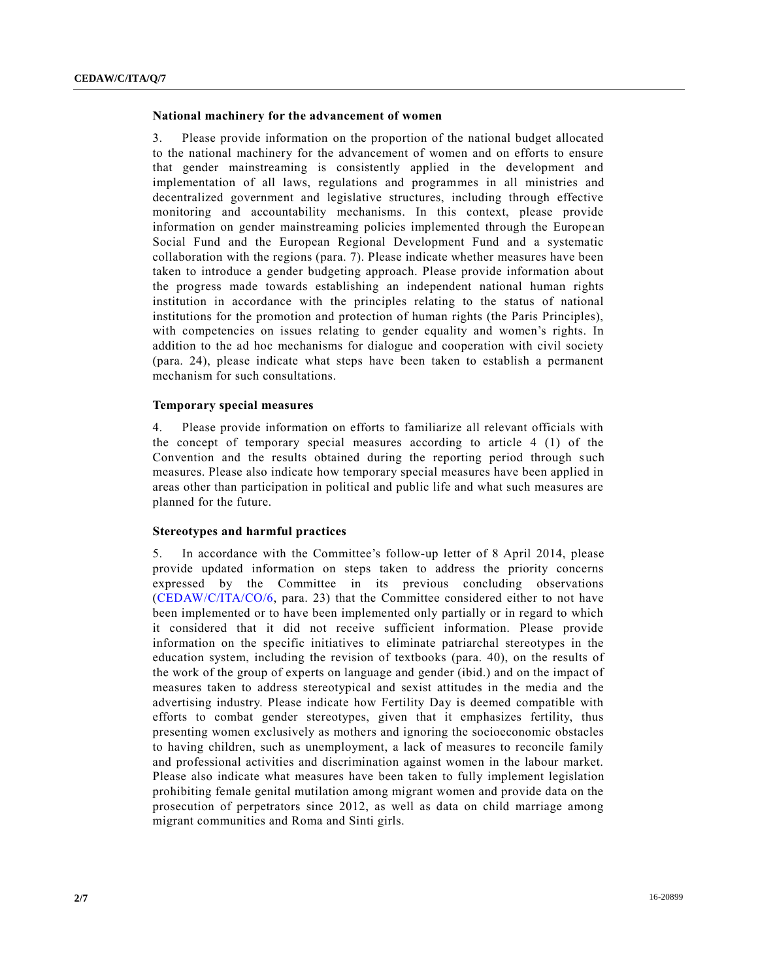#### **National machinery for the advancement of women**

3. Please provide information on the proportion of the national budget allocated to the national machinery for the advancement of women and on efforts to ensure that gender mainstreaming is consistently applied in the development and implementation of all laws, regulations and programmes in all ministries and decentralized government and legislative structures, including through effective monitoring and accountability mechanisms. In this context, please provide information on gender mainstreaming policies implemented through the Europe an Social Fund and the European Regional Development Fund and a systematic collaboration with the regions (para. 7). Please indicate whether measures have been taken to introduce a gender budgeting approach. Please provide information about the progress made towards establishing an independent national human rights institution in accordance with the principles relating to the status of national institutions for the promotion and protection of human rights (the Paris Principles), with competencies on issues relating to gender equality and women's rights. In addition to the ad hoc mechanisms for dialogue and cooperation with civil society (para. 24), please indicate what steps have been taken to establish a permanent mechanism for such consultations.

#### **Temporary special measures**

4. Please provide information on efforts to familiarize all relevant officials with the concept of temporary special measures according to article 4 (1) of the Convention and the results obtained during the reporting period through such measures. Please also indicate how temporary special measures have been applied in areas other than participation in political and public life and what such measures are planned for the future.

#### **Stereotypes and harmful practices**

5. In accordance with the Committee's follow-up letter of 8 April 2014, please provide updated information on steps taken to address the priority concerns expressed by the Committee in its previous concluding observations [\(CEDAW/C/ITA/CO/6,](http://undocs.org/CEDAW/C/ITA/CO/6) para. 23) that the Committee considered either to not have been implemented or to have been implemented only partially or in regard to which it considered that it did not receive sufficient information. Please provide information on the specific initiatives to eliminate patriarchal stereotypes in the education system, including the revision of textbooks (para. 40), on the results of the work of the group of experts on language and gender (ibid.) and on the impact of measures taken to address stereotypical and sexist attitudes in the media and the advertising industry. Please indicate how Fertility Day is deemed compatible with efforts to combat gender stereotypes, given that it emphasizes fertility, thus presenting women exclusively as mothers and ignoring the socioeconomic obstacles to having children, such as unemployment, a lack of measures to reconcile family and professional activities and discrimination against women in the labour market. Please also indicate what measures have been taken to fully implement legislation prohibiting female genital mutilation among migrant women and provide data on the prosecution of perpetrators since 2012, as well as data on child marriage among migrant communities and Roma and Sinti girls.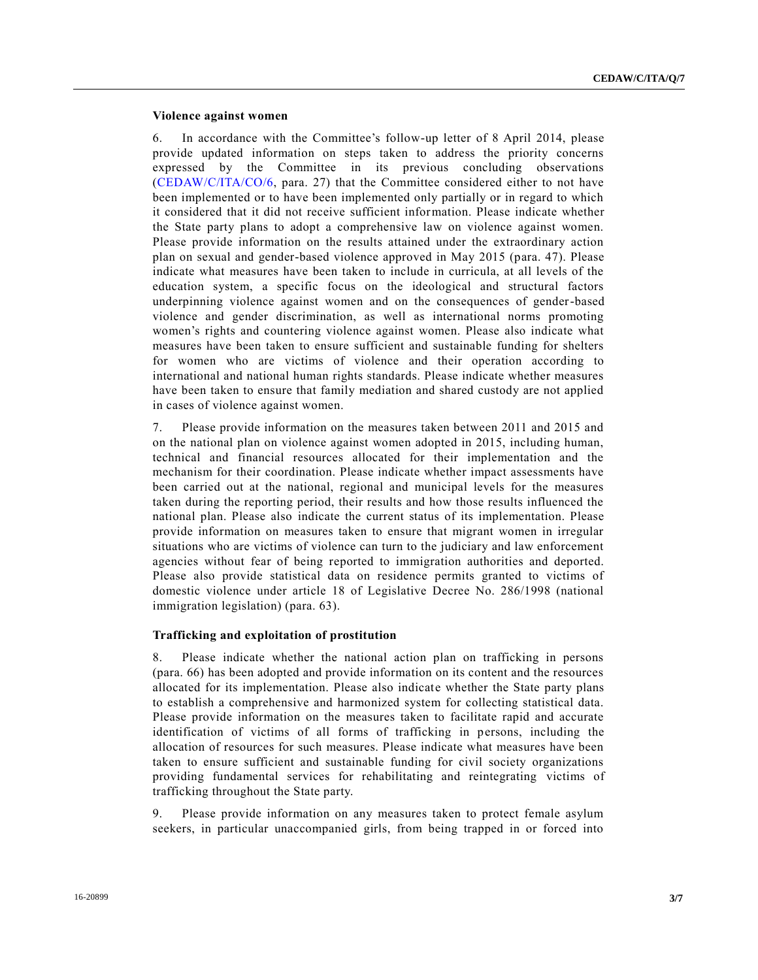#### **Violence against women**

6. In accordance with the Committee's follow-up letter of 8 April 2014, please provide updated information on steps taken to address the priority concerns expressed by the Committee in its previous concluding observations [\(CEDAW/C/ITA/CO/6,](http://undocs.org/CEDAW/C/ITA/CO/6) para. 27) that the Committee considered either to not have been implemented or to have been implemented only partially or in regard to which it considered that it did not receive sufficient information. Please indicate whether the State party plans to adopt a comprehensive law on violence against women. Please provide information on the results attained under the extraordinary action plan on sexual and gender-based violence approved in May 2015 (para. 47). Please indicate what measures have been taken to include in curricula, at all levels of the education system, a specific focus on the ideological and structural factors underpinning violence against women and on the consequences of gender-based violence and gender discrimination, as well as international norms promoting women's rights and countering violence against women. Please also indicate what measures have been taken to ensure sufficient and sustainable funding for shelters for women who are victims of violence and their operation according to international and national human rights standards. Please indicate whether measures have been taken to ensure that family mediation and shared custody are not applied in cases of violence against women.

7. Please provide information on the measures taken between 2011 and 2015 and on the national plan on violence against women adopted in 2015, including human, technical and financial resources allocated for their implementation and the mechanism for their coordination. Please indicate whether impact assessments have been carried out at the national, regional and municipal levels for the measures taken during the reporting period, their results and how those results influenced the national plan. Please also indicate the current status of its implementation. Please provide information on measures taken to ensure that migrant women in irregular situations who are victims of violence can turn to the judiciary and law enforcement agencies without fear of being reported to immigration authorities and deported. Please also provide statistical data on residence permits granted to victims of domestic violence under article 18 of Legislative Decree No. 286/1998 (national immigration legislation) (para. 63).

#### **Trafficking and exploitation of prostitution**

8. Please indicate whether the national action plan on trafficking in persons (para. 66) has been adopted and provide information on its content and the resources allocated for its implementation. Please also indicate whether the State party plans to establish a comprehensive and harmonized system for collecting statistical data. Please provide information on the measures taken to facilitate rapid and accurate identification of victims of all forms of trafficking in persons, including the allocation of resources for such measures. Please indicate what measures have been taken to ensure sufficient and sustainable funding for civil society organizations providing fundamental services for rehabilitating and reintegrating victims of trafficking throughout the State party.

9. Please provide information on any measures taken to protect female asylum seekers, in particular unaccompanied girls, from being trapped in or forced into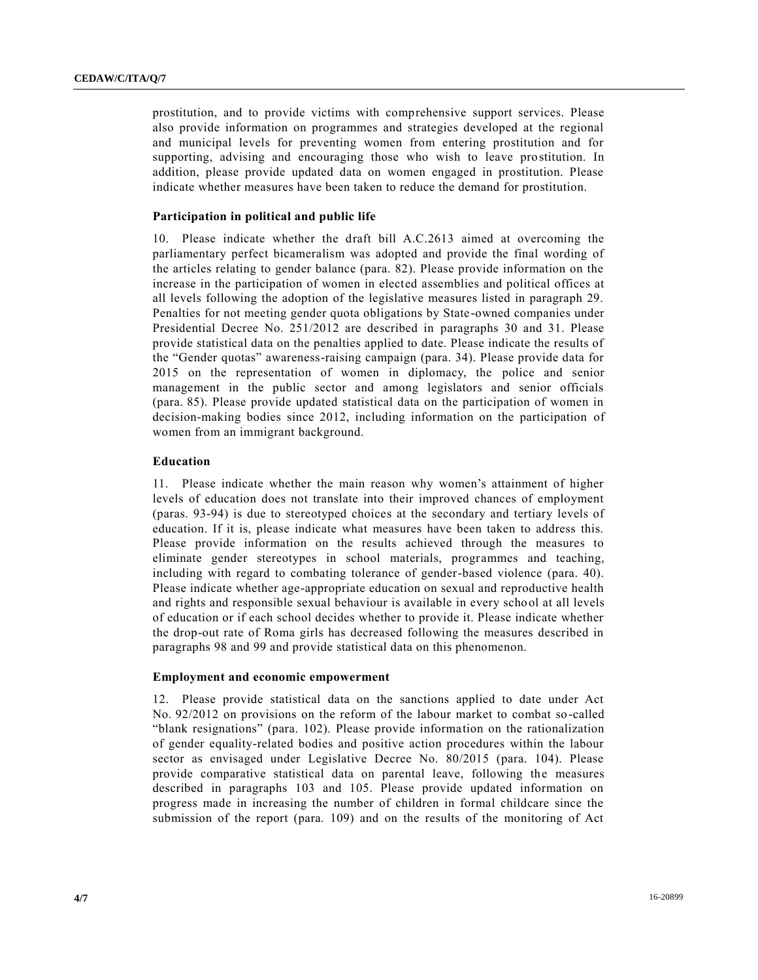prostitution, and to provide victims with comprehensive support services. Please also provide information on programmes and strategies developed at the regional and municipal levels for preventing women from entering prostitution and for supporting, advising and encouraging those who wish to leave prostitution. In addition, please provide updated data on women engaged in prostitution. Please indicate whether measures have been taken to reduce the demand for prostitution.

#### **Participation in political and public life**

10. Please indicate whether the draft bill A.C.2613 aimed at overcoming the parliamentary perfect bicameralism was adopted and provide the final wording of the articles relating to gender balance (para. 82). Please provide information on the increase in the participation of women in elected assemblies and political offices at all levels following the adoption of the legislative measures listed in paragraph 29. Penalties for not meeting gender quota obligations by State-owned companies under Presidential Decree No. 251/2012 are described in paragraphs 30 and 31. Please provide statistical data on the penalties applied to date. Please indicate the results of the "Gender quotas" awareness-raising campaign (para. 34). Please provide data for 2015 on the representation of women in diplomacy, the police and senior management in the public sector and among legislators and senior officials (para. 85). Please provide updated statistical data on the participation of women in decision-making bodies since 2012, including information on the participation of women from an immigrant background.

#### **Education**

11. Please indicate whether the main reason why women's attainment of higher levels of education does not translate into their improved chances of employment (paras. 93-94) is due to stereotyped choices at the secondary and tertiary levels of education. If it is, please indicate what measures have been taken to address this. Please provide information on the results achieved through the measures to eliminate gender stereotypes in school materials, programmes and teaching, including with regard to combating tolerance of gender-based violence (para. 40). Please indicate whether age-appropriate education on sexual and reproductive health and rights and responsible sexual behaviour is available in every school at all levels of education or if each school decides whether to provide it. Please indicate whether the drop-out rate of Roma girls has decreased following the measures described in paragraphs 98 and 99 and provide statistical data on this phenomenon.

#### **Employment and economic empowerment**

12. Please provide statistical data on the sanctions applied to date under Act No. 92/2012 on provisions on the reform of the labour market to combat so-called "blank resignations" (para. 102). Please provide information on the rationalization of gender equality-related bodies and positive action procedures within the labour sector as envisaged under Legislative Decree No. 80/2015 (para. 104). Please provide comparative statistical data on parental leave, following the measures described in paragraphs 103 and 105. Please provide updated information on progress made in increasing the number of children in formal childcare since the submission of the report (para. 109) and on the results of the monitoring of Act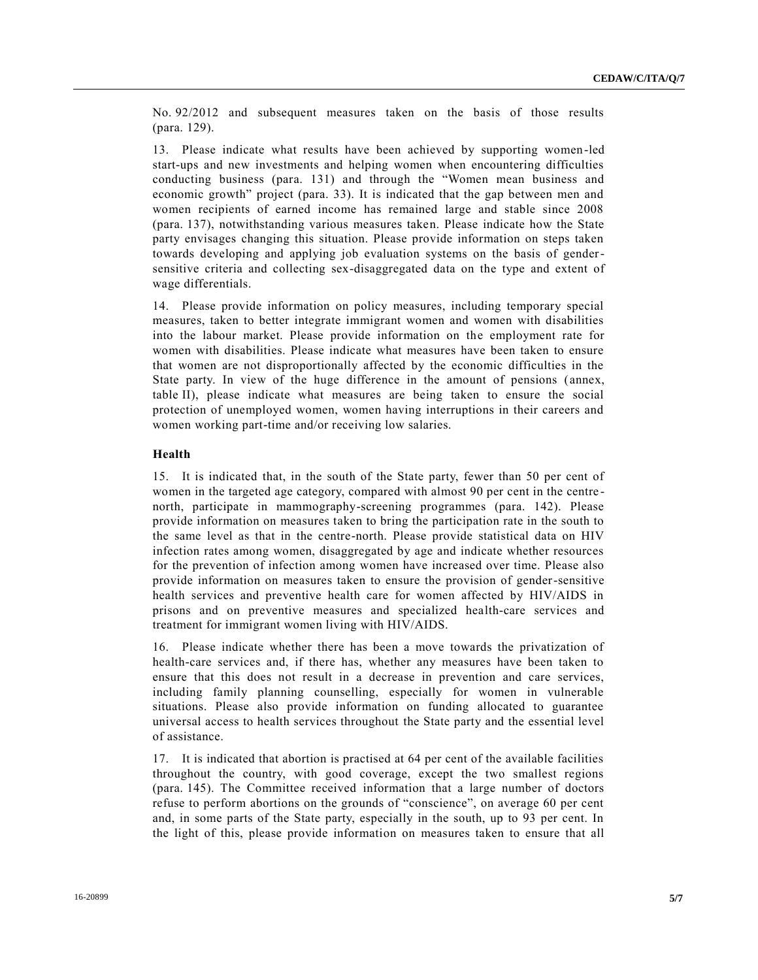No. 92/2012 and subsequent measures taken on the basis of those results (para. 129).

13. Please indicate what results have been achieved by supporting women-led start-ups and new investments and helping women when encountering difficulties conducting business (para. 131) and through the "Women mean business and economic growth" project (para. 33). It is indicated that the gap between men and women recipients of earned income has remained large and stable since 2008 (para. 137), notwithstanding various measures taken. Please indicate how the State party envisages changing this situation. Please provide information on steps taken towards developing and applying job evaluation systems on the basis of gendersensitive criteria and collecting sex-disaggregated data on the type and extent of wage differentials.

14. Please provide information on policy measures, including temporary special measures, taken to better integrate immigrant women and women with disabilities into the labour market. Please provide information on the employment rate for women with disabilities. Please indicate what measures have been taken to ensure that women are not disproportionally affected by the economic difficulties in the State party. In view of the huge difference in the amount of pensions ( annex, table II), please indicate what measures are being taken to ensure the social protection of unemployed women, women having interruptions in their careers and women working part-time and/or receiving low salaries.

#### **Health**

15. It is indicated that, in the south of the State party, fewer than 50 per cent of women in the targeted age category, compared with almost 90 per cent in the centrenorth, participate in mammography-screening programmes (para. 142). Please provide information on measures taken to bring the participation rate in the south to the same level as that in the centre-north. Please provide statistical data on HIV infection rates among women, disaggregated by age and indicate whether resources for the prevention of infection among women have increased over time. Please also provide information on measures taken to ensure the provision of gender-sensitive health services and preventive health care for women affected by HIV/AIDS in prisons and on preventive measures and specialized health-care services and treatment for immigrant women living with HIV/AIDS.

16. Please indicate whether there has been a move towards the privatization of health-care services and, if there has, whether any measures have been taken to ensure that this does not result in a decrease in prevention and care services, including family planning counselling, especially for women in vulnerable situations. Please also provide information on funding allocated to guarantee universal access to health services throughout the State party and the essential level of assistance.

17. It is indicated that abortion is practised at 64 per cent of the available facilities throughout the country, with good coverage, except the two smallest regions (para. 145). The Committee received information that a large number of doctors refuse to perform abortions on the grounds of "conscience", on average 60 per cent and, in some parts of the State party, especially in the south, up to 93 per cent. In the light of this, please provide information on measures taken to ensure that all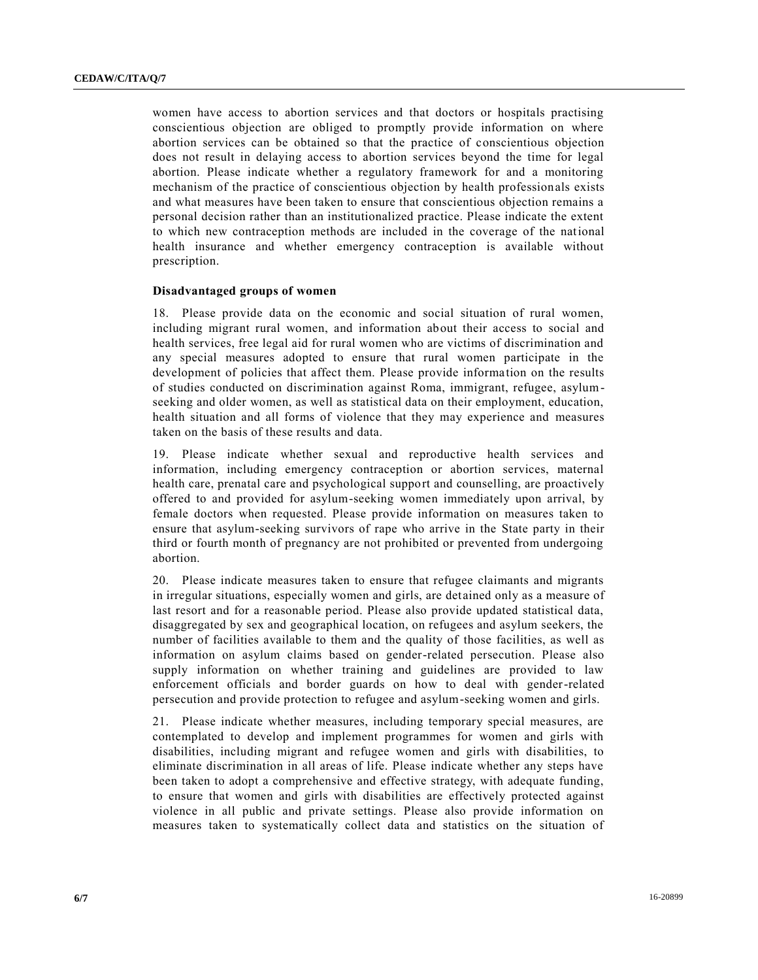women have access to abortion services and that doctors or hospitals practising conscientious objection are obliged to promptly provide information on where abortion services can be obtained so that the practice of conscientious objection does not result in delaying access to abortion services beyond the time for legal abortion. Please indicate whether a regulatory framework for and a monitoring mechanism of the practice of conscientious objection by health professionals exists and what measures have been taken to ensure that conscientious objection remains a personal decision rather than an institutionalized practice. Please indicate the extent to which new contraception methods are included in the coverage of the national health insurance and whether emergency contraception is available without prescription.

#### **Disadvantaged groups of women**

18. Please provide data on the economic and social situation of rural women, including migrant rural women, and information about their access to social and health services, free legal aid for rural women who are victims of discrimination and any special measures adopted to ensure that rural women participate in the development of policies that affect them. Please provide informa tion on the results of studies conducted on discrimination against Roma, immigrant, refugee, asylumseeking and older women, as well as statistical data on their employment, education, health situation and all forms of violence that they may experience and measures taken on the basis of these results and data.

19. Please indicate whether sexual and reproductive health services and information, including emergency contraception or abortion services, maternal health care, prenatal care and psychological support and counselling, are proactively offered to and provided for asylum-seeking women immediately upon arrival, by female doctors when requested. Please provide information on measures taken to ensure that asylum-seeking survivors of rape who arrive in the State party in their third or fourth month of pregnancy are not prohibited or prevented from undergoing abortion.

20. Please indicate measures taken to ensure that refugee claimants and migrants in irregular situations, especially women and girls, are detained only as a measure of last resort and for a reasonable period. Please also provide updated statistical data, disaggregated by sex and geographical location, on refugees and asylum seekers, the number of facilities available to them and the quality of those facilities, as well as information on asylum claims based on gender-related persecution. Please also supply information on whether training and guidelines are provided to law enforcement officials and border guards on how to deal with gender-related persecution and provide protection to refugee and asylum-seeking women and girls.

21. Please indicate whether measures, including temporary special measures, are contemplated to develop and implement programmes for women and girls with disabilities, including migrant and refugee women and girls with disabilities, to eliminate discrimination in all areas of life. Please indicate whether any steps have been taken to adopt a comprehensive and effective strategy, with adequate funding, to ensure that women and girls with disabilities are effectively protected against violence in all public and private settings. Please also provide information on measures taken to systematically collect data and statistics on the situation of